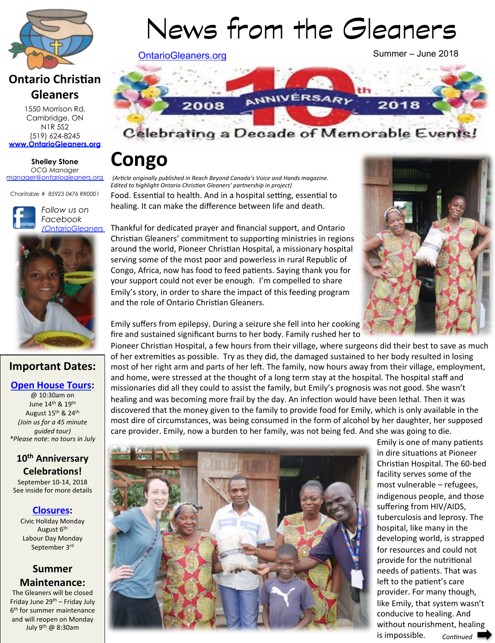

# **Ontario Christian Gleaners**

1550 Morrison Rd, Cambridge, ON N1R 5S2 (519) 624-8245 **www.OntarioGleaners.org**

**Shelley Stone** *OCG Manager manager@ontariogleaners.org*

*Charitable # 85923 0476 RR0001* 





### **Important Dates:**

### **Open House Tours:**

@ 10:30am on June 14<sup>th</sup> & 19<sup>th</sup> August 15<sup>th</sup> & 24<sup>th</sup> *(Join us for a 45 minute guided tour) \*Please note: no tours in July* 

### 10<sup>th</sup> Anniversary **Celebrations!**

September 10-14, 2018 See inside for more details

#### **Closures:** Civic Holiday Monday

August 6<sup>th</sup> Labour Day Monday September 3rd

### **Summer Maintenance:**

The Gleaners will be closed Friday June  $29<sup>th</sup>$  – Friday July 6<sup>th</sup> for summer maintenance and will reopen on Monday July 9th @ 8:30am 

# News from the Gleaners

OntarioGleaners.org

Summer – June 2018



# Celebrating a Decade of Memorable Events

# **Congo**

Food. Essential to health. And in a hospital setting, essential to healing. It can make the difference between life and death. *(Article originally published in Reach Beyond Canada's Voice and Hands magazine.* **Edited to highlight Ontario Christian Gleaners' partnership in project)** 

Thankful for dedicated prayer and financial support, and Ontario Christian Gleaners' commitment to supporting ministries in regions around the world. Pioneer Christian Hospital, a missionary hospital serving some of the most poor and powerless in rural Republic of Congo, Africa, now has food to feed patients. Saying thank you for your support could not ever be enough. I'm compelled to share Emily's story, in order to share the impact of this feeding program and the role of Ontario Christian Gleaners.



Emily suffers from epilepsy. During a seizure she fell into her cooking fire and sustained significant burns to her body. Family rushed her to

Pioneer Christian Hospital, a few hours from their village, where surgeons did their best to save as much of her extremities as possible. Try as they did, the damaged sustained to her body resulted in losing most of her right arm and parts of her left. The family, now hours away from their village, employment, and home, were stressed at the thought of a long term stay at the hospital. The hospital staff and missionaries did all they could to assist the family, but Emily's prognosis was not good. She wasn't healing and was becoming more frail by the day. An infection would have been lethal. Then it was discovered that the money given to the family to provide food for Emily, which is only available in the most dire of circumstances, was being consumed in the form of alcohol by her daughter, her supposed care provider. Emily, now a burden to her family, was not being fed. And she was going to die.



Emily is one of many patients in dire situations at Pioneer Christian Hospital. The 60-bed facility serves some of the most vulnerable - refugees, indigenous people, and those suffering from HIV/AIDS, tuberculosis and leprosy. The hospital, like many in the developing world, is strapped for resources and could not provide for the nutritional needs of patients. That was left to the patient's care provider. For many though, like Emily, that system wasn't conducive to healing. And without nourishment, healing is impossible. *Continued*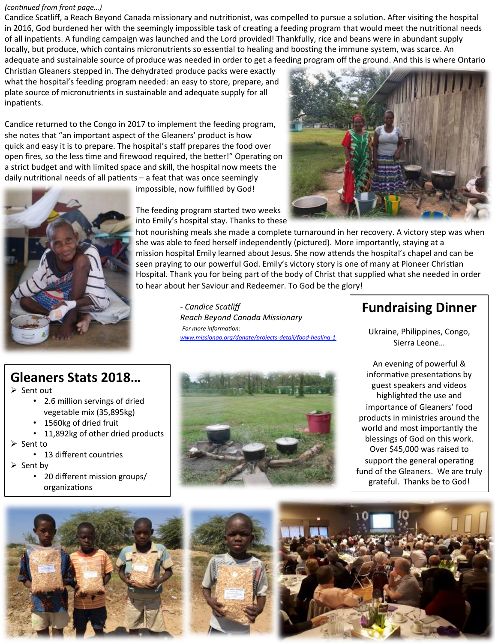#### *(continued from front page...)*

Candice Scatliff, a Reach Beyond Canada missionary and nutritionist, was compelled to pursue a solution. After visiting the hospital in 2016, God burdened her with the seemingly impossible task of creating a feeding program that would meet the nutritional needs of all inpatients. A funding campaign was launched and the Lord provided! Thankfully, rice and beans were in abundant supply locally, but produce, which contains micronutrients so essential to healing and boosting the immune system, was scarce. An adequate and sustainable source of produce was needed in order to get a feeding program off the ground. And this is where Ontario

Christian Gleaners stepped in. The dehydrated produce packs were exactly what the hospital's feeding program needed: an easy to store, prepare, and plate source of micronutrients in sustainable and adequate supply for all inpatients.

Candice returned to the Congo in 2017 to implement the feeding program, she notes that "an important aspect of the Gleaners' product is how quick and easy it is to prepare. The hospital's staff prepares the food over open fires, so the less time and firewood required, the better!" Operating on a strict budget and with limited space and skill, the hospital now meets the daily nutritional needs of all patients - a feat that was once seemingly

impossible, now fulfilled by God!

The feeding program started two weeks



into Emily's hospital stay. Thanks to these hot nourishing meals she made a complete turnaround in her recovery. A victory step was when she was able to feed herself independently (pictured). More importantly, staying at a mission hospital Emily learned about Jesus. She now attends the hospital's chapel and can be seen praying to our powerful God. Emily's victory story is one of many at Pioneer Christian Hospital. Thank you for being part of the body of Christ that supplied what she needed in order to hear about her Saviour and Redeemer. To God be the glory! - *Candice Scatliff*

**Reach Beyond Canada Missionary** For more information:  *www.missiongo.org/donate/projects-detail/food-healing-1*

# **Fundraising Dinner**

Ukraine, Philippines, Congo, Sierra Leone...

An evening of powerful &

Gleaners Stats 2018...

- $\triangleright$  Sent out
	- 2.6 million servings of dried vegetable mix (35,895kg)
	- 1560kg of dried fruit
	- 11,892kg of other dried products
- $\triangleright$  Sent to
	- 13 different countries
- $\triangleright$  Sent by
	- 20 different mission groups/ organizations



informative presentations by guest speakers and videos highlighted the use and importance of Gleaners' food products in ministries around the world and most importantly the blessings of God on this work. Over \$45,000 was raised to support the general operating fund of the Gleaners. We are truly grateful. Thanks be to God!







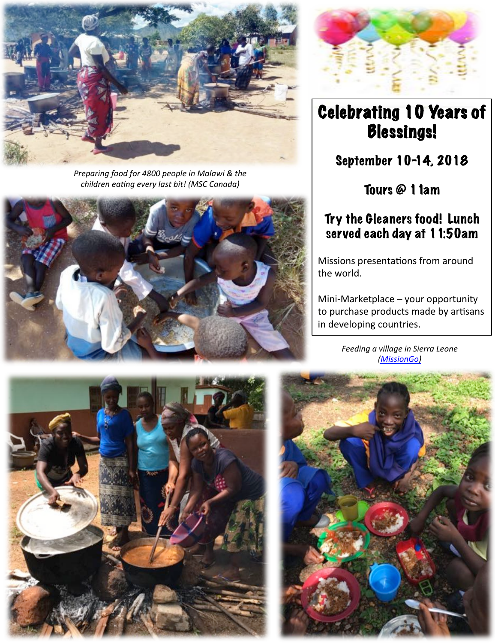

*Preparing food for 4800 people in Malawi & the* children eating every last bit! (MSC Canada)





# Celebrating 10 Years of Blessings!

September 10-14, 2018

Tours @ 11am

## Try the Gleaners food! Lunch served each day at 11:50am

Missions presentations from around the world.

Mini-Marketplace - your opportunity to purchase products made by artisans in developing countries.

**Feeding a village in Sierra Leone** *(MissionGo)*